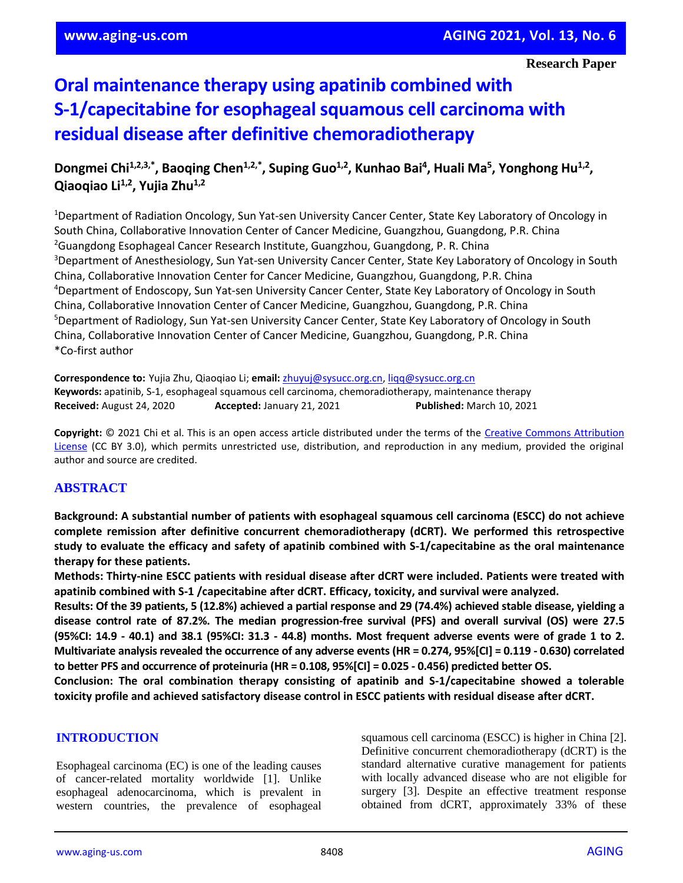# **Oral maintenance therapy using apatinib combined with S-1/capecitabine for esophageal squamous cell carcinoma with residual disease after definitive chemoradiotherapy**

## Dongmei Chi<sup>1,2,3,\*</sup>, Baoqing Chen<sup>1,2,\*</sup>, Suping Guo<sup>1,2</sup>, Kunhao Bai<sup>4</sup>, Huali Ma<sup>5</sup>, Yonghong Hu<sup>1,2</sup>, **Qiaoqiao Li1,2 , Yujia Zhu1,2**

<sup>1</sup>Department of Radiation Oncology, Sun Yat-sen University Cancer Center, State Key Laboratory of Oncology in South China, Collaborative Innovation Center of Cancer Medicine, Guangzhou, Guangdong, P.R. China <sup>2</sup>Guangdong Esophageal Cancer Research Institute, Guangzhou, Guangdong, P. R. China <sup>3</sup>Department of Anesthesiology, Sun Yat-sen University Cancer Center, State Key Laboratory of Oncology in South China, Collaborative Innovation Center for Cancer Medicine, Guangzhou, Guangdong, P.R. China <sup>4</sup>Department of Endoscopy, Sun Yat-sen University Cancer Center, State Key Laboratory of Oncology in South China, Collaborative Innovation Center of Cancer Medicine, Guangzhou, Guangdong, P.R. China <sup>5</sup>Department of Radiology, Sun Yat-sen University Cancer Center, State Key Laboratory of Oncology in South China, Collaborative Innovation Center of Cancer Medicine, Guangzhou, Guangdong, P.R. China \*Co-first author

**Correspondence to:** Yujia Zhu, Qiaoqiao Li; **email:** [zhuyuj@sysucc.org.cn,](mailto:zhuyuj@sysucc.org.cn) [liqq@sysucc.org.cn](mailto:liqq@sysucc.org.cn) **Keywords:** apatinib, S-1, esophageal squamous cell carcinoma, chemoradiotherapy, maintenance therapy **Received:** August 24, 2020 **Accepted:** January 21, 2021 **Published:** March 10, 2021

**Copyright:** © 2021 Chi et al. This is an open access article distributed under the terms of the [Creative Commons Attribution](https://creativecommons.org/licenses/by/3.0/)  [License](https://creativecommons.org/licenses/by/3.0/) (CC BY 3.0), which permits unrestricted use, distribution, and reproduction in any medium, provided the original author and source are credited.

## **ABSTRACT**

**Background: A substantial number of patients with esophageal squamous cell carcinoma (ESCC) do not achieve complete remission after definitive concurrent chemoradiotherapy (dCRT). We performed this retrospective study to evaluate the efficacy and safety of apatinib combined with S-1/capecitabine as the oral maintenance therapy for these patients.**

**Methods: Thirty-nine ESCC patients with residual disease after dCRT were included. Patients were treated with apatinib combined with S-1 /capecitabine after dCRT. Efficacy, toxicity, and survival were analyzed.**

Results: Of the 39 patients, 5 (12.8%) achieved a partial response and 29 (74.4%) achieved stable disease, yielding a **disease control rate of 87.2%. The median progression-free survival (PFS) and overall survival (OS) were 27.5** (95%CI: 14.9 - 40.1) and 38.1 (95%CI: 31.3 - 44.8) months. Most frequent adverse events were of grade 1 to 2. Multivariate analysis revealed the occurrence of any adverse events (HR = 0.274, 95%[CI] = 0.119 - 0.630) correlated to better PFS and occurrence of proteinuria (HR = 0.108, 95%[CI] = 0.025 - 0.456) predicted better OS.

**Conclusion: The oral combination therapy consisting of apatinib and S-1/capecitabine showed a tolerable toxicity profile and achieved satisfactory disease control in ESCC patients with residual disease after dCRT.**

## **INTRODUCTION**

Esophageal carcinoma (EC) is one of the leading causes of cancer-related mortality worldwide [1]. Unlike esophageal adenocarcinoma, which is prevalent in western countries, the prevalence of esophageal squamous cell carcinoma (ESCC) is higher in China [2]. Definitive concurrent chemoradiotherapy (dCRT) is the standard alternative curative management for patients with locally advanced disease who are not eligible for surgery [3]. Despite an effective treatment response obtained from dCRT, approximately 33% of these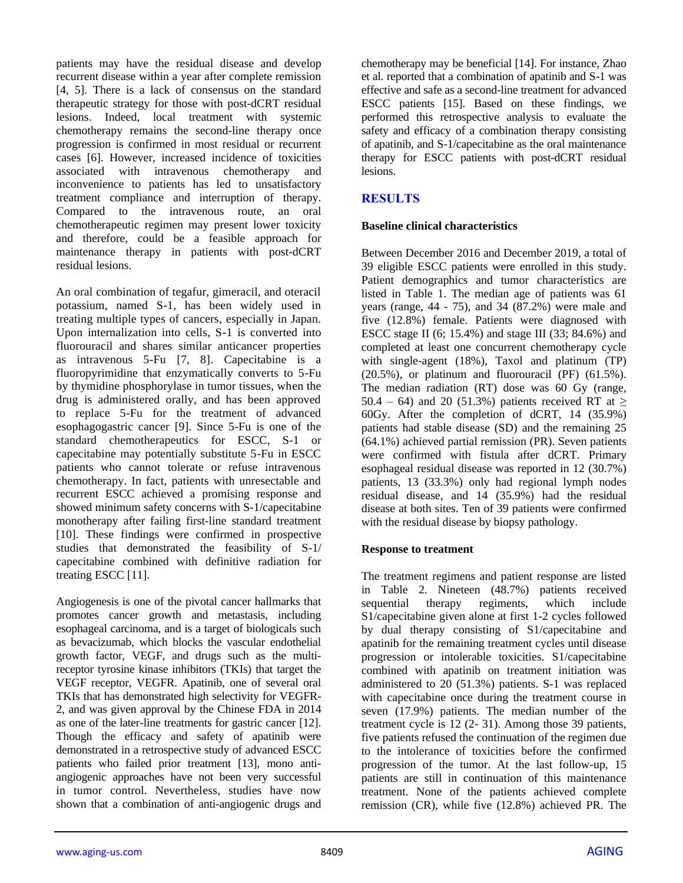patients may have the residual disease and develop recurrent disease within a year after complete remission [4, 5]. There is a lack of consensus on the standard therapeutic strategy for those with post-dCRT residual lesions. Indeed, local treatment with systemic chemotherapy remains the second-line therapy once progression is confirmed in most residual or recurrent cases [6]. However, increased incidence of toxicities associated with intravenous chemotherapy and inconvenience to patients has led to unsatisfactory treatment compliance and interruption of therapy. Compared to the intravenous route, an oral chemotherapeutic regimen may present lower toxicity and therefore, could be a feasible approach for maintenance therapy in patients with post-dCRT residual lesions.

An oral combination of tegafur, gimeracil, and oteracil potassium, named S-1, has been widely used in treating multiple types of cancers, especially in Japan. Upon internalization into cells, S-1 is converted into fluorouracil and shares similar anticancer properties as intravenous 5-Fu [7, 8]. Capecitabine is a fluoropyrimidine that enzymatically converts to 5-Fu by thymidine phosphorylase in tumor tissues, when the drug is administered orally, and has been approved to replace 5-Fu for the treatment of advanced esophagogastric cancer [9]. Since 5-Fu is one of the standard chemotherapeutics for ESCC, S-1 or capecitabine may potentially substitute 5-Fu in ESCC patients who cannot tolerate or refuse intravenous chemotherapy. In fact, patients with unresectable and recurrent ESCC achieved a promising response and showed minimum safety concerns with S-1/capecitabine monotherapy after failing first-line standard treatment [10]. These findings were confirmed in prospective studies that demonstrated the feasibility of S-1/ capecitabine combined with definitive radiation for treating ESCC [11].

Angiogenesis is one of the pivotal cancer hallmarks that promotes cancer growth and metastasis, including esophageal carcinoma, and is a target of biologicals such as bevacizumab, which blocks the vascular endothelial growth factor, VEGF, and drugs such as the multireceptor tyrosine kinase inhibitors (TKIs) that target the VEGF receptor, VEGFR. Apatinib, one of several oral TKIs that has demonstrated high selectivity for VEGFR-2, and was given approval by the Chinese FDA in 2014 as one of the later-line treatments for gastric cancer [12]. Though the efficacy and safety of apatinib were demonstrated in a retrospective study of advanced ESCC patients who failed prior treatment [13], mono antiangiogenic approaches have not been very successful in tumor control. Nevertheless, studies have now shown that a combination of anti-angiogenic drugs and

chemotherapy may be beneficial [14]. For instance, Zhao et al. reported that a combination of apatinib and S-1 was effective and safe as a second-line treatment for advanced ESCC patients [15]. Based on these findings, we performed this retrospective analysis to evaluate the safety and efficacy of a combination therapy consisting of apatinib, and S-1/capecitabine as the oral maintenance therapy for ESCC patients with post-dCRT residual lesions.

## **RESULTS**

## **Baseline clinical characteristics**

Between December 2016 and December 2019, a total of 39 eligible ESCC patients were enrolled in this study. Patient demographics and tumor characteristics are listed in Table 1. The median age of patients was 61 years (range, 44 - 75), and 34 (87.2%) were male and five (12.8%) female. Patients were diagnosed with ESCC stage II (6; 15.4%) and stage III (33; 84.6%) and completed at least one concurrent chemotherapy cycle with single-agent (18%), Taxol and platinum (TP) (20.5%), or platinum and fluorouracil (PF) (61.5%). The median radiation (RT) dose was 60 Gy (range, 50.4 – 64) and 20 (51.3%) patients received RT at  $\geq$ 60Gy. After the completion of dCRT, 14 (35.9%) patients had stable disease (SD) and the remaining 25 (64.1%) achieved partial remission (PR). Seven patients were confirmed with fistula after dCRT. Primary esophageal residual disease was reported in 12 (30.7%) patients, 13 (33.3%) only had regional lymph nodes residual disease, and 14 (35.9%) had the residual disease at both sites. Ten of 39 patients were confirmed with the residual disease by biopsy pathology.

## **Response to treatment**

The treatment regimens and patient response are listed in Table 2. Nineteen (48.7%) patients received sequential therapy regiments, which include S1/capecitabine given alone at first 1-2 cycles followed by dual therapy consisting of S1/capecitabine and apatinib for the remaining treatment cycles until disease progression or intolerable toxicities. S1/capecitabine combined with apatinib on treatment initiation was administered to 20 (51.3%) patients. S-1 was replaced with capecitabine once during the treatment course in seven (17.9%) patients. The median number of the treatment cycle is 12 (2- 31). Among those 39 patients, five patients refused the continuation of the regimen due to the intolerance of toxicities before the confirmed progression of the tumor. At the last follow-up, 15 patients are still in continuation of this maintenance treatment. None of the patients achieved complete remission (CR), while five (12.8%) achieved PR. The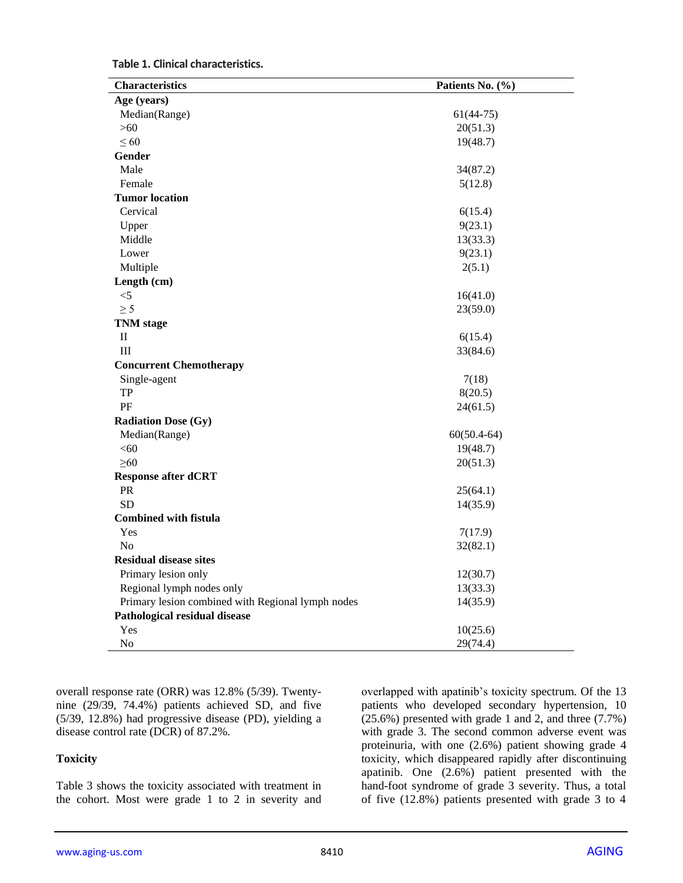|  | Table 1. Clinical characteristics. |
|--|------------------------------------|
|--|------------------------------------|

| <b>Characteristics</b>                            | Patients No. (%) |
|---------------------------------------------------|------------------|
| Age (years)                                       |                  |
| Median(Range)                                     | $61(44-75)$      |
| >60                                               | 20(51.3)         |
| $\leq 60$                                         | 19(48.7)         |
| Gender                                            |                  |
| Male                                              | 34(87.2)         |
| Female                                            | 5(12.8)          |
| <b>Tumor location</b>                             |                  |
| Cervical                                          | 6(15.4)          |
| Upper                                             | 9(23.1)          |
| Middle                                            | 13(33.3)         |
| Lower                                             | 9(23.1)          |
| Multiple                                          | 2(5.1)           |
| Length (cm)                                       |                  |
| $< 5$                                             | 16(41.0)         |
| $\geq$ 5                                          | 23(59.0)         |
| <b>TNM</b> stage                                  |                  |
| П                                                 | 6(15.4)          |
| III                                               | 33(84.6)         |
| <b>Concurrent Chemotherapy</b>                    |                  |
| Single-agent                                      | 7(18)            |
| <b>TP</b>                                         | 8(20.5)          |
| PF                                                | 24(61.5)         |
| <b>Radiation Dose (Gy)</b>                        |                  |
| Median(Range)                                     | $60(50.4-64)$    |
| < 60                                              | 19(48.7)         |
| $\geq 60$                                         | 20(51.3)         |
| <b>Response after dCRT</b>                        |                  |
| PR                                                | 25(64.1)         |
| <b>SD</b>                                         | 14(35.9)         |
| <b>Combined with fistula</b>                      |                  |
| Yes                                               | 7(17.9)          |
| No                                                | 32(82.1)         |
| <b>Residual disease sites</b>                     |                  |
| Primary lesion only                               | 12(30.7)         |
| Regional lymph nodes only                         | 13(33.3)         |
| Primary lesion combined with Regional lymph nodes | 14(35.9)         |
| Pathological residual disease                     |                  |
| Yes                                               | 10(25.6)         |
| No                                                | 29(74.4)         |

overall response rate (ORR) was 12.8% (5/39). Twentynine (29/39, 74.4%) patients achieved SD, and five (5/39, 12.8%) had progressive disease (PD), yielding a disease control rate (DCR) of 87.2%.

#### **Toxicity**

Table 3 shows the toxicity associated with treatment in the cohort. Most were grade 1 to 2 in severity and

overlapped with apatinib's toxicity spectrum. Of the 13 patients who developed secondary hypertension, 10 (25.6%) presented with grade 1 and 2, and three (7.7%) with grade 3. The second common adverse event was proteinuria, with one (2.6%) patient showing grade 4 toxicity, which disappeared rapidly after discontinuing apatinib. One (2.6%) patient presented with the hand-foot syndrome of grade 3 severity. Thus, a total of five (12.8%) patients presented with grade 3 to 4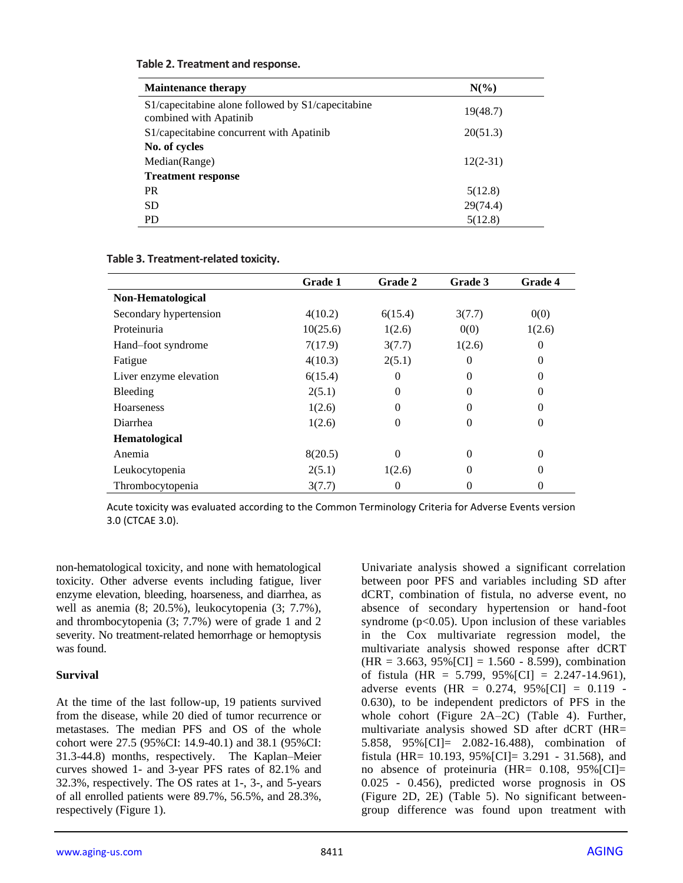| <b>Maintenance therapy</b>                                                  | $N(\%)$    |
|-----------------------------------------------------------------------------|------------|
| S1/capecitabine alone followed by S1/capecitabine<br>combined with Apatinib | 19(48.7)   |
| S1/capecitabine concurrent with Apatinib                                    | 20(51.3)   |
| No. of cycles                                                               |            |
| Median(Range)                                                               | $12(2-31)$ |
| <b>Treatment response</b>                                                   |            |
| <b>PR</b>                                                                   | 5(12.8)    |
| <b>SD</b>                                                                   | 29(74.4)   |
| <b>PD</b>                                                                   | 5(12.8)    |

#### **Table 2. Treatment and response.**

**Table 3. Treatment-related toxicity.**

|                        | Grade 1  | Grade 2 | Grade 3  | <b>Grade 4</b> |
|------------------------|----------|---------|----------|----------------|
| Non-Hematological      |          |         |          |                |
| Secondary hypertension | 4(10.2)  | 6(15.4) | 3(7.7)   | 0(0)           |
| Proteinuria            | 10(25.6) | 1(2.6)  | 0(0)     | 1(2.6)         |
| Hand-foot syndrome     | 7(17.9)  | 3(7.7)  | 1(2.6)   | 0              |
| Fatigue                | 4(10.3)  | 2(5.1)  | 0        | $\Omega$       |
| Liver enzyme elevation | 6(15.4)  | 0       | 0        | 0              |
| Bleeding               | 2(5.1)   | 0       | 0        | 0              |
| <b>Hoarseness</b>      | 1(2.6)   | 0       | 0        | 0              |
| Diarrhea               | 1(2.6)   | 0       | 0        | 0              |
| Hematological          |          |         |          |                |
| Anemia                 | 8(20.5)  | 0       | $\Omega$ | $\Omega$       |
| Leukocytopenia         | 2(5.1)   | 1(2.6)  | 0        | 0              |
| Thrombocytopenia       | 3(7.7)   | 0       | 0        | 0              |

Acute toxicity was evaluated according to the Common Terminology Criteria for Adverse Events version 3.0 (CTCAE 3.0).

non-hematological toxicity, and none with hematological toxicity. Other adverse events including fatigue, liver enzyme elevation, bleeding, hoarseness, and diarrhea, as well as anemia (8; 20.5%), leukocytopenia (3; 7.7%), and thrombocytopenia (3; 7.7%) were of grade 1 and 2 severity. No treatment-related hemorrhage or hemoptysis was found.

#### **Survival**

At the time of the last follow-up, 19 patients survived from the disease, while 20 died of tumor recurrence or metastases. The median PFS and OS of the whole cohort were 27.5 (95%CI: 14.9-40.1) and 38.1 (95%CI: 31.3-44.8) months, respectively. The Kaplan–Meier curves showed 1- and 3-year PFS rates of 82.1% and 32.3%, respectively. The OS rates at 1-, 3-, and 5-years of all enrolled patients were 89.7%, 56.5%, and 28.3%, respectively (Figure 1).

Univariate analysis showed a significant correlation between poor PFS and variables including SD after dCRT, combination of fistula, no adverse event, no absence of secondary hypertension or hand-foot syndrome  $(p<0.05)$ . Upon inclusion of these variables in the Cox multivariate regression model, the multivariate analysis showed response after dCRT  $(HR = 3.663, 95\% [CI] = 1.560 - 8.599)$ , combination of fistula (HR =  $5.799$ ,  $95\%$ [CI] = 2.247-14.961), adverse events (HR =  $0.274$ ,  $95\%$ [CI] =  $0.119$  -0.630), to be independent predictors of PFS in the whole cohort (Figure 2A–2C) (Table 4). Further, multivariate analysis showed SD after dCRT (HR= 5.858, 95%[CI]= 2.082-16.488), combination of fistula (HR= 10.193,  $95\%$ [CI]= 3.291 - 31.568), and no absence of proteinuria  $(HR= 0.108, 95\% [CI]=$ 0.025 - 0.456), predicted worse prognosis in OS (Figure 2D, 2E) (Table 5). No significant betweengroup difference was found upon treatment with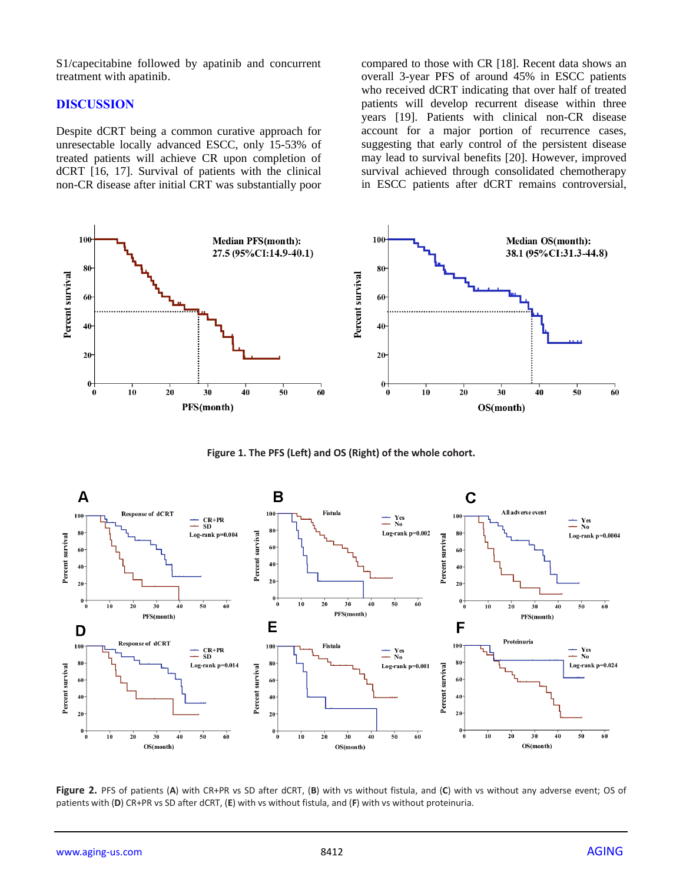S1/capecitabine followed by apatinib and concurrent treatment with apatinib.

#### **DISCUSSION**

Despite dCRT being a common curative approach for unresectable locally advanced ESCC, only 15-53% of treated patients will achieve CR upon completion of dCRT [16, 17]. Survival of patients with the clinical non-CR disease after initial CRT was substantially poor compared to those with CR [18]. Recent data shows an overall 3-year PFS of around 45% in ESCC patients who received dCRT indicating that over half of treated patients will develop recurrent disease within three years [19]. Patients with clinical non-CR disease account for a major portion of recurrence cases, suggesting that early control of the persistent disease may lead to survival benefits [20]. However, improved survival achieved through consolidated chemotherapy in ESCC patients after dCRT remains controversial,



**Figure 1. The PFS (Left) and OS (Right) of the whole cohort.**



**Figure 2.** PFS of patients (**A**) with CR+PR vs SD after dCRT, (**B**) with vs without fistula, and (**C**) with vs without any adverse event; OS of patients with (**D**) CR+PR vs SD after dCRT, (**E**) with vs without fistula, and (**F**) with vs without proteinuria.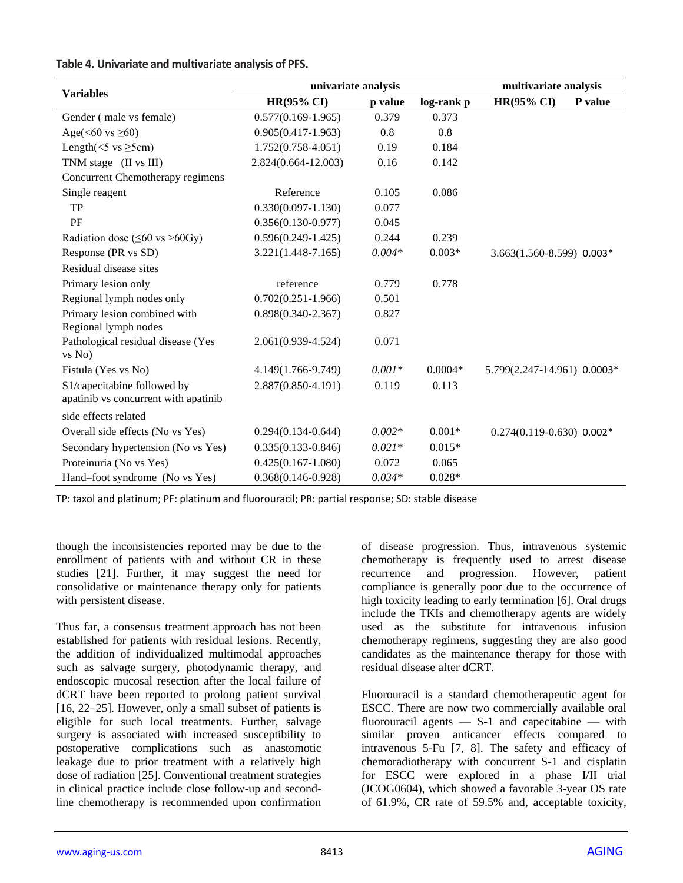#### **Table 4. Univariate and multivariate analysis of PFS.**

|                                                                     | univariate analysis    |          | multivariate analysis |                               |         |
|---------------------------------------------------------------------|------------------------|----------|-----------------------|-------------------------------|---------|
| <b>Variables</b>                                                    | <b>HR(95% CI)</b>      | p value  | log-rank p            | <b>HR(95% CI)</b>             | P value |
| Gender (male vs female)                                             | $0.577(0.169-1.965)$   | 0.379    | 0.373                 |                               |         |
| Age( $<60$ vs $\geq 60$ )                                           | $0.905(0.417-1.963)$   | 0.8      | 0.8                   |                               |         |
| Length( $<$ 5 vs $\geq$ 5cm)                                        | $1.752(0.758 - 4.051)$ | 0.19     | 0.184                 |                               |         |
| TNM stage (II vs III)                                               | 2.824(0.664-12.003)    | 0.16     | 0.142                 |                               |         |
| Concurrent Chemotherapy regimens                                    |                        |          |                       |                               |         |
| Single reagent                                                      | Reference              | 0.105    | 0.086                 |                               |         |
| <b>TP</b>                                                           | $0.330(0.097 - 1.130)$ | 0.077    |                       |                               |         |
| PF                                                                  | $0.356(0.130 - 0.977)$ | 0.045    |                       |                               |         |
| Radiation dose ( $\leq 60$ vs >60Gy)                                | $0.596(0.249 - 1.425)$ | 0.244    | 0.239                 |                               |         |
| Response (PR vs SD)                                                 | $3.221(1.448 - 7.165)$ | $0.004*$ | $0.003*$              | $3.663(1.560 - 8.599)$ 0.003* |         |
| Residual disease sites                                              |                        |          |                       |                               |         |
| Primary lesion only                                                 | reference              | 0.779    | 0.778                 |                               |         |
| Regional lymph nodes only                                           | $0.702(0.251 - 1.966)$ | 0.501    |                       |                               |         |
| Primary lesion combined with                                        | $0.898(0.340 - 2.367)$ | 0.827    |                       |                               |         |
| Regional lymph nodes                                                |                        |          |                       |                               |         |
| Pathological residual disease (Yes<br>vs No)                        | 2.061(0.939-4.524)     | 0.071    |                       |                               |         |
| Fistula (Yes vs No)                                                 | 4.149(1.766-9.749)     | $0.001*$ | $0.0004*$             | 5.799(2.247-14.961) 0.0003*   |         |
| S1/capecitabine followed by<br>apatinib vs concurrent with apatinib | 2.887(0.850-4.191)     | 0.119    | 0.113                 |                               |         |
| side effects related                                                |                        |          |                       |                               |         |
| Overall side effects (No vs Yes)                                    | $0.294(0.134-0.644)$   | $0.002*$ | $0.001*$              | $0.274(0.119 - 0.630) 0.002*$ |         |
| Secondary hypertension (No vs Yes)                                  | $0.335(0.133 - 0.846)$ | $0.021*$ | $0.015*$              |                               |         |
| Proteinuria (No vs Yes)                                             | $0.425(0.167 - 1.080)$ | 0.072    | 0.065                 |                               |         |
| Hand-foot syndrome (No vs Yes)                                      | $0.368(0.146 - 0.928)$ | $0.034*$ | $0.028*$              |                               |         |

TP: taxol and platinum; PF: platinum and fluorouracil; PR: partial response; SD: stable disease

though the inconsistencies reported may be due to the enrollment of patients with and without CR in these studies [21]. Further, it may suggest the need for consolidative or maintenance therapy only for patients with persistent disease.

Thus far, a consensus treatment approach has not been established for patients with residual lesions. Recently, the addition of individualized multimodal approaches such as salvage surgery, photodynamic therapy, and endoscopic mucosal resection after the local failure of dCRT have been reported to prolong patient survival [16, 22–25]. However, only a small subset of patients is eligible for such local treatments. Further, salvage surgery is associated with increased susceptibility to postoperative complications such as anastomotic leakage due to prior treatment with a relatively high dose of radiation [25]. Conventional treatment strategies in clinical practice include close follow-up and secondline chemotherapy is recommended upon confirmation

of disease progression. Thus, intravenous systemic chemotherapy is frequently used to arrest disease recurrence and progression. However, patient compliance is generally poor due to the occurrence of high toxicity leading to early termination [6]. Oral drugs include the TKIs and chemotherapy agents are widely used as the substitute for intravenous infusion chemotherapy regimens, suggesting they are also good candidates as the maintenance therapy for those with residual disease after dCRT.

Fluorouracil is a standard chemotherapeutic agent for ESCC. There are now two commercially available oral fluorouracil agents  $-$  S-1 and capecitabine  $-$  with similar proven anticancer effects compared to intravenous 5-Fu [7, 8]. The safety and efficacy of chemoradiotherapy with concurrent S-1 and cisplatin for ESCC were explored in a phase I/II trial (JCOG0604), which showed a favorable 3-year OS rate of 61.9%, CR rate of 59.5% and, acceptable toxicity,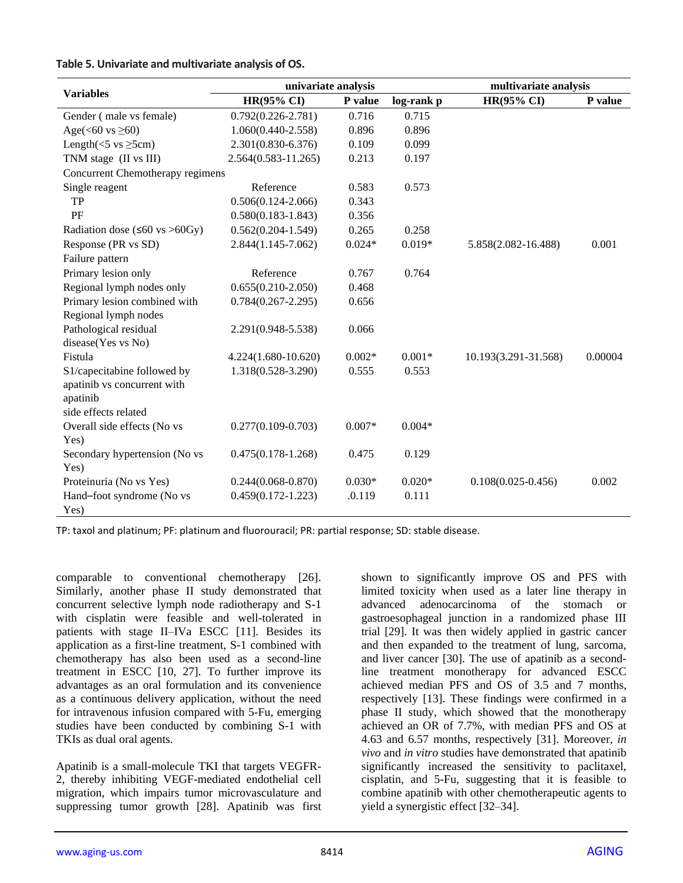|  |  |  | Table 5. Univariate and multivariate analysis of OS. |  |  |
|--|--|--|------------------------------------------------------|--|--|
|--|--|--|------------------------------------------------------|--|--|

|                                          | univariate analysis     |          | multivariate analysis |                        |         |
|------------------------------------------|-------------------------|----------|-----------------------|------------------------|---------|
| <b>Variables</b>                         | <b>HR(95% CI)</b>       | P value  | log-rank p            | <b>HR(95% CI)</b>      | P value |
| Gender (male vs female)                  | $0.792(0.226 - 2.781)$  | 0.716    | 0.715                 |                        |         |
| Age( $\leq 60$ vs $\geq 60$ )            | $1.060(0.440 - 2.558)$  | 0.896    | 0.896                 |                        |         |
| Length( $<$ 5 vs $\geq$ 5cm)             | $2.301(0.830 - 6.376)$  | 0.109    | 0.099                 |                        |         |
| TNM stage (II vs III)                    | $2.564(0.583 - 11.265)$ | 0.213    | 0.197                 |                        |         |
| Concurrent Chemotherapy regimens         |                         |          |                       |                        |         |
| Single reagent                           | Reference               | 0.583    | 0.573                 |                        |         |
| TP                                       | $0.506(0.124 - 2.066)$  | 0.343    |                       |                        |         |
| PF                                       | $0.580(0.183 - 1.843)$  | 0.356    |                       |                        |         |
| Radiation dose ( $\leq 60$ vs $> 60$ Gy) | $0.562(0.204 - 1.549)$  | 0.265    | 0.258                 |                        |         |
| Response (PR vs SD)                      | $2.844(1.145 - 7.062)$  | $0.024*$ | $0.019*$              | 5.858(2.082-16.488)    | 0.001   |
| Failure pattern                          |                         |          |                       |                        |         |
| Primary lesion only                      | Reference               | 0.767    | 0.764                 |                        |         |
| Regional lymph nodes only                | $0.655(0.210-2.050)$    | 0.468    |                       |                        |         |
| Primary lesion combined with             | $0.784(0.267 - 2.295)$  | 0.656    |                       |                        |         |
| Regional lymph nodes                     |                         |          |                       |                        |         |
| Pathological residual                    | 2.291(0.948-5.538)      | 0.066    |                       |                        |         |
| disease(Yes vs No)                       |                         |          |                       |                        |         |
| Fistula                                  | 4.224(1.680-10.620)     | $0.002*$ | $0.001*$              | 10.193(3.291-31.568)   | 0.00004 |
| S1/capecitabine followed by              | 1.318(0.528-3.290)      | 0.555    | 0.553                 |                        |         |
| apatinib vs concurrent with              |                         |          |                       |                        |         |
| apatinib                                 |                         |          |                       |                        |         |
| side effects related                     |                         |          |                       |                        |         |
| Overall side effects (No vs              | $0.277(0.109 - 0.703)$  | $0.007*$ | $0.004*$              |                        |         |
| Yes)                                     |                         |          |                       |                        |         |
| Secondary hypertension (No vs            | $0.475(0.178-1.268)$    | 0.475    | 0.129                 |                        |         |
| Yes)                                     |                         |          |                       |                        |         |
| Proteinuria (No vs Yes)                  | $0.244(0.068 - 0.870)$  | $0.030*$ | $0.020*$              | $0.108(0.025 - 0.456)$ | 0.002   |
| Hand-foot syndrome (No vs                | $0.459(0.172 - 1.223)$  | .0.119   | 0.111                 |                        |         |
| Yes)                                     |                         |          |                       |                        |         |

TP: taxol and platinum; PF: platinum and fluorouracil; PR: partial response; SD: stable disease.

comparable to conventional chemotherapy [26]. Similarly, another phase II study demonstrated that concurrent selective lymph node radiotherapy and S-1 with cisplatin were feasible and well-tolerated in patients with stage II–IVa ESCC [11]. Besides its application as a first-line treatment, S-1 combined with chemotherapy has also been used as a second-line treatment in ESCC [10, 27]. To further improve its advantages as an oral formulation and its convenience as a continuous delivery application, without the need for intravenous infusion compared with 5-Fu, emerging studies have been conducted by combining S-1 with TKIs as dual oral agents.

Apatinib is a small-molecule TKI that targets VEGFR-2, thereby inhibiting VEGF-mediated endothelial cell migration, which impairs tumor microvasculature and suppressing tumor growth [28]. Apatinib was first shown to significantly improve OS and PFS with limited toxicity when used as a later line therapy in advanced adenocarcinoma of the stomach or gastroesophageal junction in a randomized phase III trial [29]. It was then widely applied in gastric cancer and then expanded to the treatment of lung, sarcoma, and liver cancer [30]. The use of apatinib as a secondline treatment monotherapy for advanced ESCC achieved median PFS and OS of 3.5 and 7 months, respectively [13]. These findings were confirmed in a phase II study, which showed that the monotherapy achieved an OR of 7.7%, with median PFS and OS at 4.63 and 6.57 months, respectively [31]. Moreover, *in vivo* and *in vitro* studies have demonstrated that apatinib significantly increased the sensitivity to paclitaxel, cisplatin, and 5-Fu, suggesting that it is feasible to combine apatinib with other chemotherapeutic agents to yield a synergistic effect [32–34].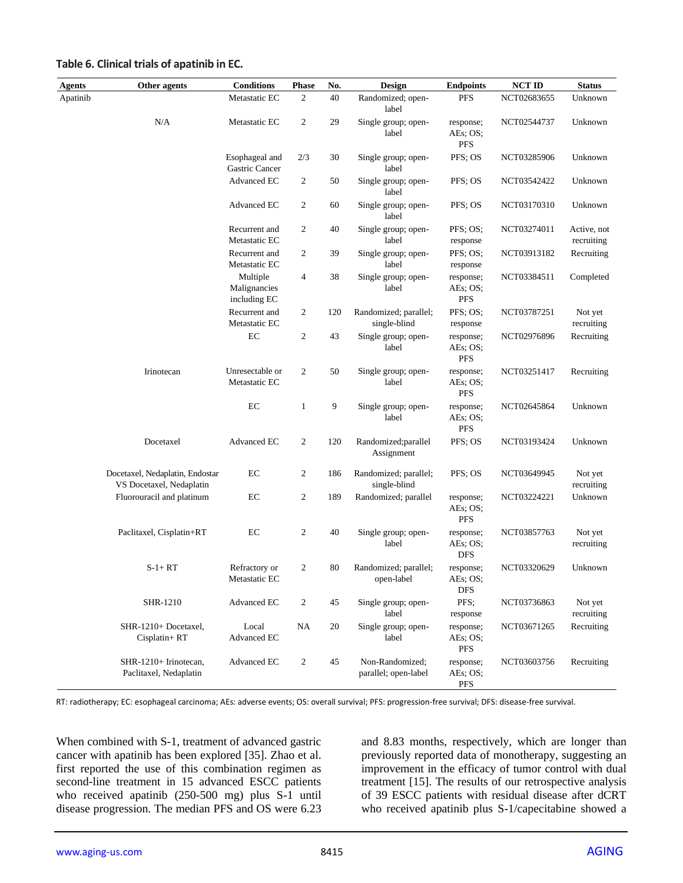| Agents   | Other agents                                                | <b>Conditions</b>                        | <b>Phase</b>   | No. | Design                                  | <b>Endpoints</b>                    | <b>NCT ID</b> | <b>Status</b>             |
|----------|-------------------------------------------------------------|------------------------------------------|----------------|-----|-----------------------------------------|-------------------------------------|---------------|---------------------------|
| Apatinib |                                                             | Metastatic EC                            | 2              | 40  | Randomized; open-<br>label              | <b>PFS</b>                          | NCT02683655   | Unknown                   |
|          | N/A                                                         | Metastatic EC                            | $\overline{c}$ | 29  | Single group; open-<br>label            | response;<br>AEs: OS:<br><b>PFS</b> | NCT02544737   | Unknown                   |
|          |                                                             | Esophageal and<br>Gastric Cancer         | 2/3            | 30  | Single group; open-<br>label            | PFS; OS                             | NCT03285906   | Unknown                   |
|          |                                                             | Advanced EC                              | 2              | 50  | Single group; open-<br>label            | PFS; OS                             | NCT03542422   | Unknown                   |
|          |                                                             | Advanced EC                              | $\overline{c}$ | 60  | Single group; open-<br>label            | PFS; OS                             | NCT03170310   | Unknown                   |
|          |                                                             | Recurrent and<br>Metastatic EC           | 2              | 40  | Single group; open-<br>label            | PFS: OS:<br>response                | NCT03274011   | Active, not<br>recruiting |
|          |                                                             | Recurrent and<br>Metastatic EC           | 2              | 39  | Single group; open-<br>label            | PFS; OS;<br>response                | NCT03913182   | Recruiting                |
|          |                                                             | Multiple<br>Malignancies<br>including EC | 4              | 38  | Single group; open-<br>label            | response;<br>AEs; OS;<br><b>PFS</b> | NCT03384511   | Completed                 |
|          |                                                             | Recurrent and<br>Metastatic EC           | 2              | 120 | Randomized; parallel;<br>single-blind   | PFS; OS;<br>response                | NCT03787251   | Not yet<br>recruiting     |
|          |                                                             | EC                                       | 2              | 43  | Single group; open-<br>label            | response;<br>AEs; OS;<br><b>PFS</b> | NCT02976896   | Recruiting                |
|          | Irinotecan                                                  | Unresectable or<br>Metastatic EC         | $\overline{c}$ | 50  | Single group; open-<br>label            | response;<br>AEs; OS;<br><b>PFS</b> | NCT03251417   | Recruiting                |
|          |                                                             | EC                                       | $\mathbf{1}$   | 9   | Single group; open-<br>label            | response;<br>AEs; OS;<br><b>PFS</b> | NCT02645864   | Unknown                   |
|          | Docetaxel                                                   | Advanced EC                              | $\overline{c}$ | 120 | Randomized; parallel<br>Assignment      | PFS; OS                             | NCT03193424   | Unknown                   |
|          | Docetaxel, Nedaplatin, Endostar<br>VS Docetaxel, Nedaplatin | EC                                       | 2              | 186 | Randomized; parallel;<br>single-blind   | PFS; OS                             | NCT03649945   | Not yet<br>recruiting     |
|          | Fluorouracil and platinum                                   | EC                                       | 2              | 189 | Randomized; parallel                    | response;<br>AEs; OS;<br>PFS        | NCT03224221   | Unknown                   |
|          | Paclitaxel, Cisplatin+RT                                    | EC                                       | 2              | 40  | Single group; open-<br>label            | response;<br>AEs; OS;<br><b>DFS</b> | NCT03857763   | Not yet<br>recruiting     |
|          | $S-1+RT$                                                    | Refractory or<br>Metastatic EC           | 2              | 80  | Randomized; parallel;<br>open-label     | response;<br>AEs; OS;<br><b>DFS</b> | NCT03320629   | Unknown                   |
|          | <b>SHR-1210</b>                                             | Advanced EC                              | 2              | 45  | Single group; open-<br>label            | PFS;<br>response                    | NCT03736863   | Not yet<br>recruiting     |
|          | SHR-1210+ Docetaxel,<br>Cisplatin+RT                        | Local<br>Advanced EC                     | NA             | 20  | Single group; open-<br>label            | response;<br>AEs; OS;<br>PFS        | NCT03671265   | Recruiting                |
|          | SHR-1210+ Irinotecan,<br>Paclitaxel, Nedaplatin             | Advanced EC                              | $\overline{2}$ | 45  | Non-Randomized;<br>parallel; open-label | response;<br>AEs: OS:<br><b>PFS</b> | NCT03603756   | Recruiting                |

#### **Table 6. Clinical trials of apatinib in EC.**

RT: radiotherapy; EC: esophageal carcinoma; AEs: adverse events; OS: overall survival; PFS: progression-free survival; DFS: disease-free survival.

When combined with S-1, treatment of advanced gastric cancer with apatinib has been explored [35]. Zhao et al. first reported the use of this combination regimen as second-line treatment in 15 advanced ESCC patients who received apatinib (250-500 mg) plus S-1 until disease progression. The median PFS and OS were 6.23 and 8.83 months, respectively, which are longer than previously reported data of monotherapy, suggesting an improvement in the efficacy of tumor control with dual treatment [15]. The results of our retrospective analysis of 39 ESCC patients with residual disease after dCRT who received apatinib plus S-1/capecitabine showed a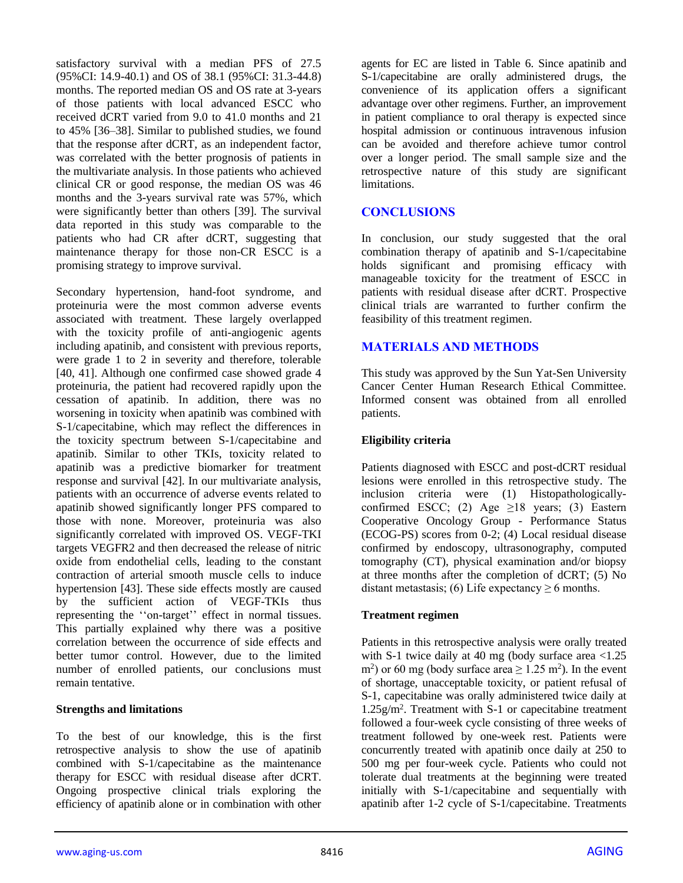satisfactory survival with a median PFS of 27.5 (95%CI: 14.9-40.1) and OS of 38.1 (95%CI: 31.3-44.8) months. The reported median OS and OS rate at 3-years of those patients with local advanced ESCC who received dCRT varied from 9.0 to 41.0 months and 21 to 45% [36–38]. Similar to published studies, we found that the response after dCRT, as an independent factor, was correlated with the better prognosis of patients in the multivariate analysis. In those patients who achieved clinical CR or good response, the median OS was 46 months and the 3-years survival rate was 57%, which were significantly better than others [39]. The survival data reported in this study was comparable to the patients who had CR after dCRT, suggesting that maintenance therapy for those non-CR ESCC is a promising strategy to improve survival.

Secondary hypertension, hand-foot syndrome, and proteinuria were the most common adverse events associated with treatment. These largely overlapped with the toxicity profile of anti-angiogenic agents including apatinib, and consistent with previous reports, were grade 1 to 2 in severity and therefore, tolerable [40, 41]. Although one confirmed case showed grade 4 proteinuria, the patient had recovered rapidly upon the cessation of apatinib. In addition, there was no worsening in toxicity when apatinib was combined with S-1/capecitabine, which may reflect the differences in the toxicity spectrum between S-1/capecitabine and apatinib. Similar to other TKIs, toxicity related to apatinib was a predictive biomarker for treatment response and survival [42]. In our multivariate analysis, patients with an occurrence of adverse events related to apatinib showed significantly longer PFS compared to those with none. Moreover, proteinuria was also significantly correlated with improved OS. VEGF-TKI targets VEGFR2 and then decreased the release of nitric oxide from endothelial cells, leading to the constant contraction of arterial smooth muscle cells to induce hypertension [43]. These side effects mostly are caused by the sufficient action of VEGF-TKIs thus representing the ''on-target'' effect in normal tissues. This partially explained why there was a positive correlation between the occurrence of side effects and better tumor control. However, due to the limited number of enrolled patients, our conclusions must remain tentative.

## **Strengths and limitations**

To the best of our knowledge, this is the first retrospective analysis to show the use of apatinib combined with S-1/capecitabine as the maintenance therapy for ESCC with residual disease after dCRT. Ongoing prospective clinical trials exploring the efficiency of apatinib alone or in combination with other

agents for EC are listed in Table 6. Since apatinib and S-1/capecitabine are orally administered drugs, the convenience of its application offers a significant advantage over other regimens. Further, an improvement in patient compliance to oral therapy is expected since hospital admission or continuous intravenous infusion can be avoided and therefore achieve tumor control over a longer period. The small sample size and the retrospective nature of this study are significant limitations.

## **CONCLUSIONS**

In conclusion, our study suggested that the oral combination therapy of apatinib and S-1/capecitabine holds significant and promising efficacy with manageable toxicity for the treatment of ESCC in patients with residual disease after dCRT. Prospective clinical trials are warranted to further confirm the feasibility of this treatment regimen.

## **MATERIALS AND METHODS**

This study was approved by the Sun Yat-Sen University Cancer Center Human Research Ethical Committee. Informed consent was obtained from all enrolled patients.

## **Eligibility criteria**

Patients diagnosed with ESCC and post-dCRT residual lesions were enrolled in this retrospective study. The inclusion criteria were (1) Histopathologicallyconfirmed ESCC; (2) Age  $\geq$ 18 years; (3) Eastern Cooperative Oncology Group - Performance Status (ECOG-PS) scores from 0-2; (4) Local residual disease confirmed by endoscopy, ultrasonography, computed tomography (CT), physical examination and/or biopsy at three months after the completion of dCRT; (5) No distant metastasis; (6) Life expectancy  $\geq 6$  months.

## **Treatment regimen**

Patients in this retrospective analysis were orally treated with S-1 twice daily at 40 mg (body surface area  $\leq 1.25$ ) m<sup>2</sup>) or 60 mg (body surface area  $\geq 1.25$  m<sup>2</sup>). In the event of shortage, unacceptable toxicity, or patient refusal of S-1, capecitabine was orally administered twice daily at 1.25g/m<sup>2</sup> . Treatment with S-1 or capecitabine treatment followed a four-week cycle consisting of three weeks of treatment followed by one-week rest. Patients were concurrently treated with apatinib once daily at 250 to 500 mg per four-week cycle. Patients who could not tolerate dual treatments at the beginning were treated initially with S-1/capecitabine and sequentially with apatinib after 1-2 cycle of S-1/capecitabine. Treatments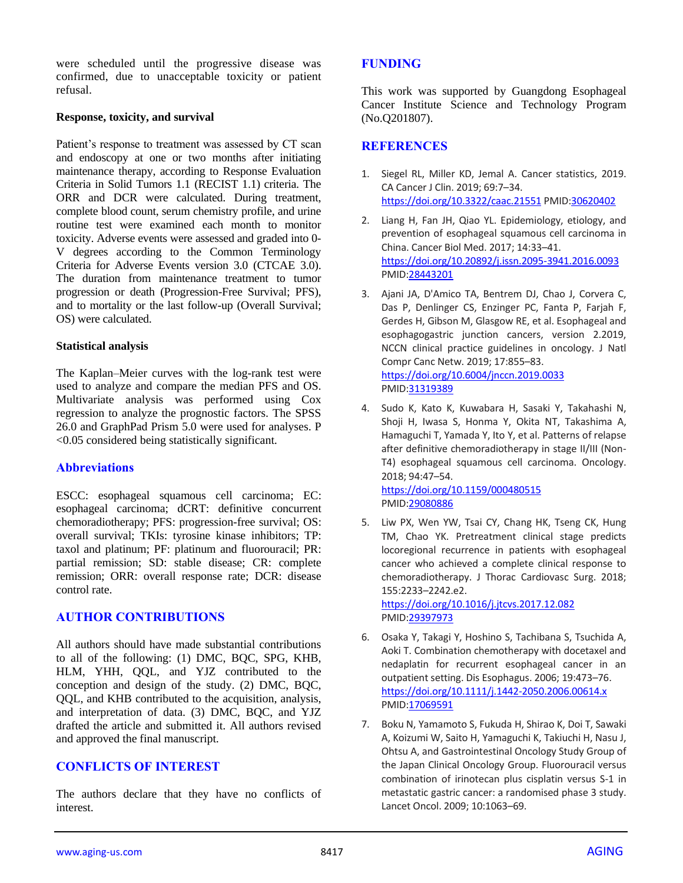were scheduled until the progressive disease was confirmed, due to unacceptable toxicity or patient refusal.

#### **Response, toxicity, and survival**

Patient's response to treatment was assessed by CT scan and endoscopy at one or two months after initiating maintenance therapy, according to Response Evaluation Criteria in Solid Tumors 1.1 (RECIST 1.1) criteria. The ORR and DCR were calculated. During treatment, complete blood count, serum chemistry profile, and urine routine test were examined each month to monitor toxicity. Adverse events were assessed and graded into 0- V degrees according to the Common Terminology Criteria for Adverse Events version 3.0 (CTCAE 3.0). The duration from maintenance treatment to tumor progression or death (Progression-Free Survival; PFS), and to mortality or the last follow-up (Overall Survival; OS) were calculated.

#### **Statistical analysis**

The Kaplan–Meier curves with the log-rank test were used to analyze and compare the median PFS and OS. Multivariate analysis was performed using Cox regression to analyze the prognostic factors. The SPSS 26.0 and GraphPad Prism 5.0 were used for analyses. P <0.05 considered being statistically significant.

## **Abbreviations**

ESCC: esophageal squamous cell carcinoma; EC: esophageal carcinoma; dCRT: definitive concurrent chemoradiotherapy; PFS: progression-free survival; OS: overall survival; TKIs: tyrosine kinase inhibitors; TP: taxol and platinum; PF: platinum and fluorouracil; PR: partial remission; SD: stable disease; CR: complete remission; ORR: overall response rate; DCR: disease control rate.

## **AUTHOR CONTRIBUTIONS**

All authors should have made substantial contributions to all of the following: (1) DMC, BQC, SPG, KHB, HLM, YHH, QQL, and YJZ contributed to the conception and design of the study. (2) DMC, BQC, QQL, and KHB contributed to the acquisition, analysis, and interpretation of data. (3) DMC, BQC, and YJZ drafted the article and submitted it. All authors revised and approved the final manuscript.

## **CONFLICTS OF INTEREST**

The authors declare that they have no conflicts of interest.

## **FUNDING**

This work was supported by Guangdong Esophageal Cancer Institute Science and Technology Program (No.Q201807).

## **REFERENCES**

- 1. Siegel RL, Miller KD, Jemal A. Cancer statistics, 2019. CA Cancer J Clin. 2019; 69:7–34. <https://doi.org/10.3322/caac.21551> PMID[:30620402](https://pubmed.ncbi.nlm.nih.gov/30620402)
- 2. Liang H, Fan JH, Qiao YL. Epidemiology, etiology, and prevention of esophageal squamous cell carcinoma in China. Cancer Biol Med. 2017; 14:33–41. <https://doi.org/10.20892/j.issn.2095-3941.2016.0093> PMI[D:28443201](https://pubmed.ncbi.nlm.nih.gov/28443201)
- 3. Ajani JA, D'Amico TA, Bentrem DJ, Chao J, Corvera C, Das P, Denlinger CS, Enzinger PC, Fanta P, Farjah F, Gerdes H, Gibson M, Glasgow RE, et al. Esophageal and esophagogastric junction cancers, version 2.2019, NCCN clinical practice guidelines in oncology. J Natl Compr Canc Netw. 2019; 17:855–83. <https://doi.org/10.6004/jnccn.2019.0033> PMI[D:31319389](https://pubmed.ncbi.nlm.nih.gov/31319389)
- 4. Sudo K, Kato K, Kuwabara H, Sasaki Y, Takahashi N, Shoji H, Iwasa S, Honma Y, Okita NT, Takashima A, Hamaguchi T, Yamada Y, Ito Y, et al. Patterns of relapse after definitive chemoradiotherapy in stage II/III (Non-T4) esophageal squamous cell carcinoma. Oncology. 2018; 94:47–54. <https://doi.org/10.1159/000480515>
	- PMI[D:29080886](https://pubmed.ncbi.nlm.nih.gov/29080886)
- 5. Liw PX, Wen YW, Tsai CY, Chang HK, Tseng CK, Hung TM, Chao YK. Pretreatment clinical stage predicts locoregional recurrence in patients with esophageal cancer who achieved a complete clinical response to chemoradiotherapy. J Thorac Cardiovasc Surg. 2018; 155:2233–2242.e2. <https://doi.org/10.1016/j.jtcvs.2017.12.082> PMI[D:29397973](https://pubmed.ncbi.nlm.nih.gov/29397973/)
- 6. Osaka Y, Takagi Y, Hoshino S, Tachibana S, Tsuchida A, Aoki T. Combination chemotherapy with docetaxel and nedaplatin for recurrent esophageal cancer in an outpatient setting. Dis Esophagus. 2006; 19:473–76. <https://doi.org/10.1111/j.1442-2050.2006.00614.x> PMI[D:17069591](https://pubmed.ncbi.nlm.nih.gov/17069591)
- 7. Boku N, Yamamoto S, Fukuda H, Shirao K, Doi T, Sawaki A, Koizumi W, Saito H, Yamaguchi K, Takiuchi H, Nasu J, Ohtsu A, and Gastrointestinal Oncology Study Group of the Japan Clinical Oncology Group. Fluorouracil versus combination of irinotecan plus cisplatin versus S-1 in metastatic gastric cancer: a randomised phase 3 study. Lancet Oncol. 2009; 10:1063–69.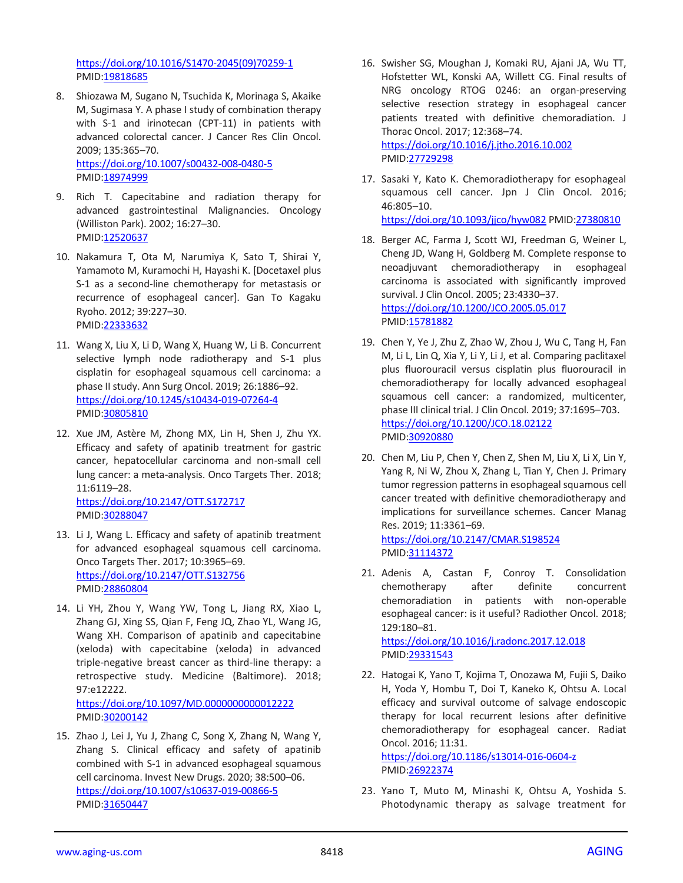[https://doi.org/10.1016/S1470-2045\(09\)70259-1](https://doi.org/10.1016/S1470-2045(09)70259-1) PMID[:19818685](https://pubmed.ncbi.nlm.nih.gov/19818685)

- 8. Shiozawa M, Sugano N, Tsuchida K, Morinaga S, Akaike M, Sugimasa Y. A phase I study of combination therapy with S-1 and irinotecan (CPT-11) in patients with advanced colorectal cancer. J Cancer Res Clin Oncol. 2009; 135:365–70. <https://doi.org/10.1007/s00432-008-0480-5> PMID[:18974999](https://pubmed.ncbi.nlm.nih.gov/18974999)
- 9. Rich T. Capecitabine and radiation therapy for advanced gastrointestinal Malignancies. Oncology (Williston Park). 2002; 16:27–30. PMID[:12520637](https://pubmed.ncbi.nlm.nih.gov/12520637)
- 10. Nakamura T, Ota M, Narumiya K, Sato T, Shirai Y, Yamamoto M, Kuramochi H, Hayashi K. [Docetaxel plus S-1 as a second-line chemotherapy for metastasis or recurrence of esophageal cancer]. Gan To Kagaku Ryoho. 2012; 39:227–30. PMID[:22333632](https://pubmed.ncbi.nlm.nih.gov/22333632)
- 11. Wang X, Liu X, Li D, Wang X, Huang W, Li B. Concurrent selective lymph node radiotherapy and S-1 plus cisplatin for esophageal squamous cell carcinoma: a phase II study. Ann Surg Oncol. 2019; 26:1886–92. <https://doi.org/10.1245/s10434-019-07264-4> PMID[:30805810](https://pubmed.ncbi.nlm.nih.gov/30805810)
- 12. Xue JM, Astère M, Zhong MX, Lin H, Shen J, Zhu YX. Efficacy and safety of apatinib treatment for gastric cancer, hepatocellular carcinoma and non-small cell lung cancer: a meta-analysis. Onco Targets Ther. 2018; 11:6119–28. <https://doi.org/10.2147/OTT.S172717>
- 13. Li J, Wang L. Efficacy and safety of apatinib treatment for advanced esophageal squamous cell carcinoma. Onco Targets Ther. 2017; 10:3965–69. <https://doi.org/10.2147/OTT.S132756> PMID[:28860804](https://pubmed.ncbi.nlm.nih.gov/28860804)
- 14. Li YH, Zhou Y, Wang YW, Tong L, Jiang RX, Xiao L, Zhang GJ, Xing SS, Qian F, Feng JQ, Zhao YL, Wang JG, Wang XH. Comparison of apatinib and capecitabine (xeloda) with capecitabine (xeloda) in advanced triple-negative breast cancer as third-line therapy: a retrospective study. Medicine (Baltimore). 2018; 97:e12222.

<https://doi.org/10.1097/MD.0000000000012222> PMID[:30200142](https://pubmed.ncbi.nlm.nih.gov/30200142)

15. Zhao J, Lei J, Yu J, Zhang C, Song X, Zhang N, Wang Y, Zhang S. Clinical efficacy and safety of apatinib combined with S-1 in advanced esophageal squamous cell carcinoma. Invest New Drugs. 2020; 38:500–06. <https://doi.org/10.1007/s10637-019-00866-5> PMID[:31650447](https://pubmed.ncbi.nlm.nih.gov/31650447)

16. Swisher SG, Moughan J, Komaki RU, Ajani JA, Wu TT, Hofstetter WL, Konski AA, Willett CG. Final results of NRG oncology RTOG 0246: an organ-preserving selective resection strategy in esophageal cancer patients treated with definitive chemoradiation. J Thorac Oncol. 2017; 12:368–74. <https://doi.org/10.1016/j.jtho.2016.10.002>

PMI[D:27729298](https://pubmed.ncbi.nlm.nih.gov/27729298)

- 17. Sasaki Y, Kato K. Chemoradiotherapy for esophageal squamous cell cancer. Jpn J Clin Oncol. 2016; 46:805–10. <https://doi.org/10.1093/jjco/hyw082> PMI[D:27380810](https://pubmed.ncbi.nlm.nih.gov/27380810)
- 18. Berger AC, Farma J, Scott WJ, Freedman G, Weiner L, Cheng JD, Wang H, Goldberg M. Complete response to neoadjuvant chemoradiotherapy in esophageal carcinoma is associated with significantly improved survival. J Clin Oncol. 2005; 23:4330–37. <https://doi.org/10.1200/JCO.2005.05.017> PMI[D:15781882](https://pubmed.ncbi.nlm.nih.gov/15781882)
- 19. Chen Y, Ye J, Zhu Z, Zhao W, Zhou J, Wu C, Tang H, Fan M, Li L, Lin Q, Xia Y, Li Y, Li J, et al. Comparing paclitaxel plus fluorouracil versus cisplatin plus fluorouracil in chemoradiotherapy for locally advanced esophageal squamous cell cancer: a randomized, multicenter, phase III clinical trial. J Clin Oncol. 2019; 37:1695–703. <https://doi.org/10.1200/JCO.18.02122> PMI[D:30920880](https://pubmed.ncbi.nlm.nih.gov/30920880)
- 20. Chen M, Liu P, Chen Y, Chen Z, Shen M, Liu X, Li X, Lin Y, Yang R, Ni W, Zhou X, Zhang L, Tian Y, Chen J. Primary tumor regression patterns in esophageal squamous cell cancer treated with definitive chemoradiotherapy and implications for surveillance schemes. Cancer Manag Res. 2019; 11:3361–69. <https://doi.org/10.2147/CMAR.S198524>

PMI[D:31114372](https://pubmed.ncbi.nlm.nih.gov/31114372)

- 21. Adenis A, Castan F, Conroy T. Consolidation chemotherapy after definite concurrent chemoradiation in patients with non-operable esophageal cancer: is it useful? Radiother Oncol. 2018; 129:180–81. <https://doi.org/10.1016/j.radonc.2017.12.018>
	- PMI[D:29331543](https://pubmed.ncbi.nlm.nih.gov/29331543)
- 22. Hatogai K, Yano T, Kojima T, Onozawa M, Fujii S, Daiko H, Yoda Y, Hombu T, Doi T, Kaneko K, Ohtsu A. Local efficacy and survival outcome of salvage endoscopic therapy for local recurrent lesions after definitive chemoradiotherapy for esophageal cancer. Radiat Oncol. 2016; 11:31.

<https://doi.org/10.1186/s13014-016-0604-z> PMI[D:26922374](https://pubmed.ncbi.nlm.nih.gov/26922374)

23. Yano T, Muto M, Minashi K, Ohtsu A, Yoshida S. Photodynamic therapy as salvage treatment for

PMID[:30288047](https://pubmed.ncbi.nlm.nih.gov/30288047)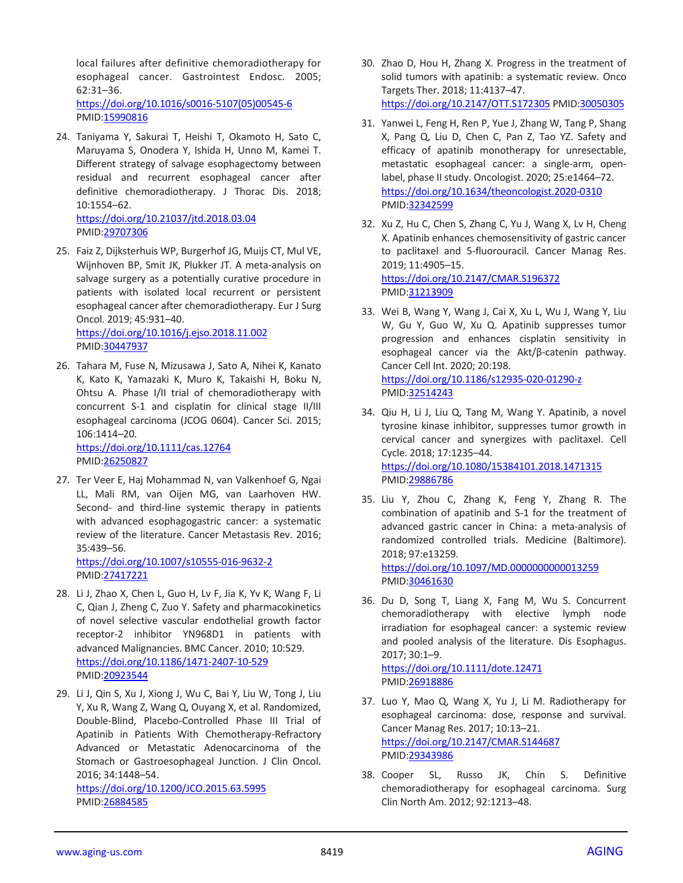local failures after definitive chemoradiotherapy for esophageal cancer. Gastrointest Endosc. 2005; 62:31–36. [https://doi.org/10.1016/s0016-5107\(05\)00545-6](https://doi.org/10.1016/s0016-5107(05)00545-6) PMID[:15990816](https://pubmed.ncbi.nlm.nih.gov/15990816)

24. Taniyama Y, Sakurai T, Heishi T, Okamoto H, Sato C, Maruyama S, Onodera Y, Ishida H, Unno M, Kamei T. Different strategy of salvage esophagectomy between residual and recurrent esophageal cancer after definitive chemoradiotherapy. J Thorac Dis. 2018; 10:1554–62.

<https://doi.org/10.21037/jtd.2018.03.04> PMID[:29707306](https://pubmed.ncbi.nlm.nih.gov/29707306)

- 25. Faiz Z, Dijksterhuis WP, Burgerhof JG, Muijs CT, Mul VE, Wijnhoven BP, Smit JK, Plukker JT. A meta-analysis on salvage surgery as a potentially curative procedure in patients with isolated local recurrent or persistent esophageal cancer after chemoradiotherapy. Eur J Surg Oncol. 2019; 45:931–40. <https://doi.org/10.1016/j.ejso.2018.11.002>
	- PMID[:30447937](https://pubmed.ncbi.nlm.nih.gov/30447937)
- 26. Tahara M, Fuse N, Mizusawa J, Sato A, Nihei K, Kanato K, Kato K, Yamazaki K, Muro K, Takaishi H, Boku N, Ohtsu A. Phase I/II trial of chemoradiotherapy with concurrent S-1 and cisplatin for clinical stage II/III esophageal carcinoma (JCOG 0604). Cancer Sci. 2015; 106:1414–20. <https://doi.org/10.1111/cas.12764>

PMID[:26250827](https://pubmed.ncbi.nlm.nih.gov/26250827)

27. Ter Veer E, Haj Mohammad N, van Valkenhoef G, Ngai LL, Mali RM, van Oijen MG, van Laarhoven HW. Second- and third-line systemic therapy in patients with advanced esophagogastric cancer: a systematic review of the literature. Cancer Metastasis Rev. 2016; 35:439–56.

<https://doi.org/10.1007/s10555-016-9632-2> PMID[:27417221](https://pubmed.ncbi.nlm.nih.gov/27417221)

- 28. Li J, Zhao X, Chen L, Guo H, Lv F, Jia K, Yv K, Wang F, Li C, Qian J, Zheng C, Zuo Y. Safety and pharmacokinetics of novel selective vascular endothelial growth factor receptor-2 inhibitor YN968D1 in patients with advanced Malignancies. BMC Cancer. 2010; 10:529. <https://doi.org/10.1186/1471-2407-10-529> PMID[:20923544](https://pubmed.ncbi.nlm.nih.gov/20923544)
- 29. Li J, Qin S, Xu J, Xiong J, Wu C, Bai Y, Liu W, Tong J, Liu Y, Xu R, Wang Z, Wang Q, Ouyang X, et al. Randomized, Double-Blind, Placebo-Controlled Phase III Trial of Apatinib in Patients With Chemotherapy-Refractory Advanced or Metastatic Adenocarcinoma of the Stomach or Gastroesophageal Junction. J Clin Oncol. 2016; 34:1448–54. <https://doi.org/10.1200/JCO.2015.63.5995>

PMID[:26884585](https://pubmed.ncbi.nlm.nih.gov/26884585/)

- 30. Zhao D, Hou H, Zhang X. Progress in the treatment of solid tumors with apatinib: a systematic review. Onco Targets Ther. 2018; 11:4137–47. <https://doi.org/10.2147/OTT.S172305> PMID[:30050305](https://pubmed.ncbi.nlm.nih.gov/30050305)
- 31. Yanwei L, Feng H, Ren P, Yue J, Zhang W, Tang P, Shang X, Pang Q, Liu D, Chen C, Pan Z, Tao YZ. Safety and efficacy of apatinib monotherapy for unresectable, metastatic esophageal cancer: a single-arm, openlabel, phase II study. Oncologist. 2020; 25:e1464–72. <https://doi.org/10.1634/theoncologist.2020-0310> PMI[D:32342599](https://pubmed.ncbi.nlm.nih.gov/32342599)
- 32. Xu Z, Hu C, Chen S, Zhang C, Yu J, Wang X, Lv H, Cheng X. Apatinib enhances chemosensitivity of gastric cancer to paclitaxel and 5-fluorouracil. Cancer Manag Res. 2019; 11:4905–15. <https://doi.org/10.2147/CMAR.S196372> PMI[D:31213909](https://pubmed.ncbi.nlm.nih.gov/31213909)
- 33. Wei B, Wang Y, Wang J, Cai X, Xu L, Wu J, Wang Y, Liu W, Gu Y, Guo W, Xu Q. Apatinib suppresses tumor progression and enhances cisplatin sensitivity in esophageal cancer via the Akt/β-catenin pathway. Cancer Cell Int. 2020; 20:198. <https://doi.org/10.1186/s12935-020-01290-z> PMI[D:32514243](https://pubmed.ncbi.nlm.nih.gov/32514243)
- 34. Qiu H, Li J, Liu Q, Tang M, Wang Y. Apatinib, a novel tyrosine kinase inhibitor, suppresses tumor growth in cervical cancer and synergizes with paclitaxel. Cell Cycle. 2018; 17:1235–44. <https://doi.org/10.1080/15384101.2018.1471315> PMI[D:29886786](https://pubmed.ncbi.nlm.nih.gov/29886786)
- 35. Liu Y, Zhou C, Zhang K, Feng Y, Zhang R. The combination of apatinib and S-1 for the treatment of advanced gastric cancer in China: a meta-analysis of randomized controlled trials. Medicine (Baltimore). 2018; 97:e13259. <https://doi.org/10.1097/MD.0000000000013259> PMI[D:30461630](https://pubmed.ncbi.nlm.nih.gov/30461630)
- 36. Du D, Song T, Liang X, Fang M, Wu S. Concurrent chemoradiotherapy with elective lymph node irradiation for esophageal cancer: a systemic review and pooled analysis of the literature. Dis Esophagus. 2017; 30:1–9.

<https://doi.org/10.1111/dote.12471> PMI[D:26918886](https://pubmed.ncbi.nlm.nih.gov/26918886)

- 37. Luo Y, Mao Q, Wang X, Yu J, Li M. Radiotherapy for esophageal carcinoma: dose, response and survival. Cancer Manag Res. 2017; 10:13–21. <https://doi.org/10.2147/CMAR.S144687> PMI[D:29343986](https://pubmed.ncbi.nlm.nih.gov/29343986)
- 38. Cooper SL, Russo JK, Chin S. Definitive chemoradiotherapy for esophageal carcinoma. Surg Clin North Am. 2012; 92:1213–48.